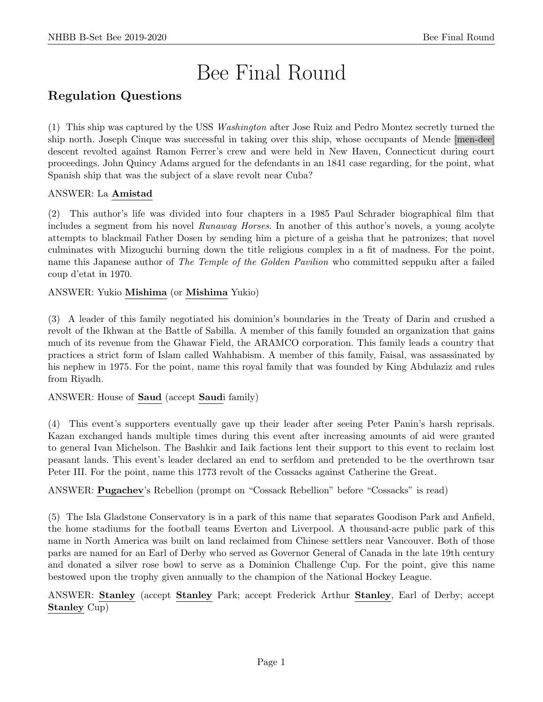# Bee Final Round

# Regulation Questions

(1) This ship was captured by the USS Washington after Jose Ruiz and Pedro Montez secretly turned the ship north. Joseph Cinque was successful in taking over this ship, whose occupants of Mende [men-dee] descent revolted against Ramon Ferrer's crew and were held in New Haven, Connecticut during court proceedings. John Quincy Adams argued for the defendants in an 1841 case regarding, for the point, what Spanish ship that was the subject of a slave revolt near Cuba?

# ANSWER: La Amistad

(2) This author's life was divided into four chapters in a 1985 Paul Schrader biographical film that includes a segment from his novel Runaway Horses. In another of this author's novels, a young acolyte attempts to blackmail Father Dosen by sending him a picture of a geisha that he patronizes; that novel culminates with Mizoguchi burning down the title religious complex in a fit of madness. For the point, name this Japanese author of The Temple of the Golden Pavilion who committed seppuku after a failed coup d'etat in 1970.

ANSWER: Yukio Mishima (or Mishima Yukio)

(3) A leader of this family negotiated his dominion's boundaries in the Treaty of Darin and crushed a revolt of the Ikhwan at the Battle of Sabilla. A member of this family founded an organization that gains much of its revenue from the Ghawar Field, the ARAMCO corporation. This family leads a country that practices a strict form of Islam called Wahhabism. A member of this family, Faisal, was assassinated by his nephew in 1975. For the point, name this royal family that was founded by King Abdulaziz and rules from Riyadh.

ANSWER: House of Saud (accept Saudi family)

(4) This event's supporters eventually gave up their leader after seeing Peter Panin's harsh reprisals. Kazan exchanged hands multiple times during this event after increasing amounts of aid were granted to general Ivan Michelson. The Bashkir and Iaik factions lent their support to this event to reclaim lost peasant lands. This event's leader declared an end to serfdom and pretended to be the overthrown tsar Peter III. For the point, name this 1773 revolt of the Cossacks against Catherine the Great.

ANSWER: Pugachev's Rebellion (prompt on "Cossack Rebellion" before "Cossacks" is read)

(5) The Isla Gladstone Conservatory is in a park of this name that separates Goodison Park and Anfield, the home stadiums for the football teams Everton and Liverpool. A thousand-acre public park of this name in North America was built on land reclaimed from Chinese settlers near Vancouver. Both of those parks are named for an Earl of Derby who served as Governor General of Canada in the late 19th century and donated a silver rose bowl to serve as a Dominion Challenge Cup. For the point, give this name bestowed upon the trophy given annually to the champion of the National Hockey League.

ANSWER: Stanley (accept Stanley Park; accept Frederick Arthur Stanley, Earl of Derby; accept Stanley Cup)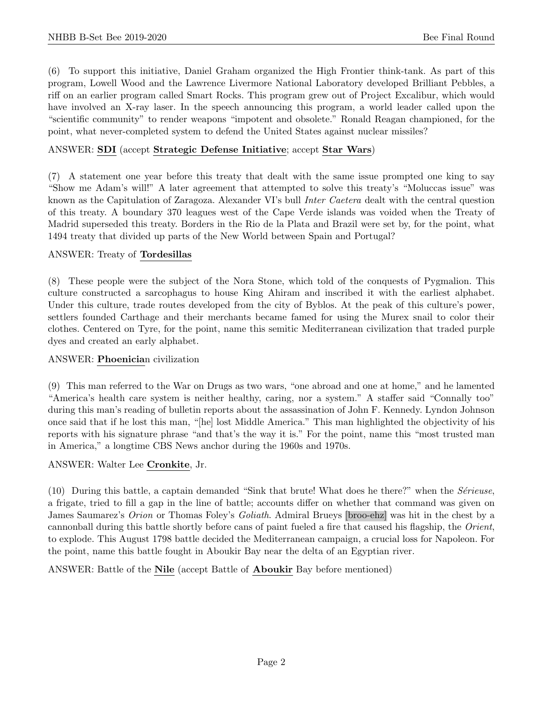(6) To support this initiative, Daniel Graham organized the High Frontier think-tank. As part of this program, Lowell Wood and the Lawrence Livermore National Laboratory developed Brilliant Pebbles, a riff on an earlier program called Smart Rocks. This program grew out of Project Excalibur, which would have involved an X-ray laser. In the speech announcing this program, a world leader called upon the "scientific community" to render weapons "impotent and obsolete." Ronald Reagan championed, for the point, what never-completed system to defend the United States against nuclear missiles?

# ANSWER: SDI (accept Strategic Defense Initiative; accept Star Wars)

(7) A statement one year before this treaty that dealt with the same issue prompted one king to say "Show me Adam's will!" A later agreement that attempted to solve this treaty's "Moluccas issue" was known as the Capitulation of Zaragoza. Alexander VI's bull Inter Caetera dealt with the central question of this treaty. A boundary 370 leagues west of the Cape Verde islands was voided when the Treaty of Madrid superseded this treaty. Borders in the Rio de la Plata and Brazil were set by, for the point, what 1494 treaty that divided up parts of the New World between Spain and Portugal?

#### ANSWER: Treaty of Tordesillas

(8) These people were the subject of the Nora Stone, which told of the conquests of Pygmalion. This culture constructed a sarcophagus to house King Ahiram and inscribed it with the earliest alphabet. Under this culture, trade routes developed from the city of Byblos. At the peak of this culture's power, settlers founded Carthage and their merchants became famed for using the Murex snail to color their clothes. Centered on Tyre, for the point, name this semitic Mediterranean civilization that traded purple dyes and created an early alphabet.

#### ANSWER: Phoenician civilization

(9) This man referred to the War on Drugs as two wars, "one abroad and one at home," and he lamented "America's health care system is neither healthy, caring, nor a system." A staffer said "Connally too" during this man's reading of bulletin reports about the assassination of John F. Kennedy. Lyndon Johnson once said that if he lost this man, "[he] lost Middle America." This man highlighted the objectivity of his reports with his signature phrase "and that's the way it is." For the point, name this "most trusted man in America," a longtime CBS News anchor during the 1960s and 1970s.

#### ANSWER: Walter Lee Cronkite, Jr.

(10) During this battle, a captain demanded "Sink that brute! What does he there?" when the Sérieuse, a frigate, tried to fill a gap in the line of battle; accounts differ on whether that command was given on James Saumarez's Orion or Thomas Foley's Goliath. Admiral Brueys [broo-ehz] was hit in the chest by a cannonball during this battle shortly before cans of paint fueled a fire that caused his flagship, the Orient, to explode. This August 1798 battle decided the Mediterranean campaign, a crucial loss for Napoleon. For the point, name this battle fought in Aboukir Bay near the delta of an Egyptian river.

ANSWER: Battle of the Nile (accept Battle of Aboukir Bay before mentioned)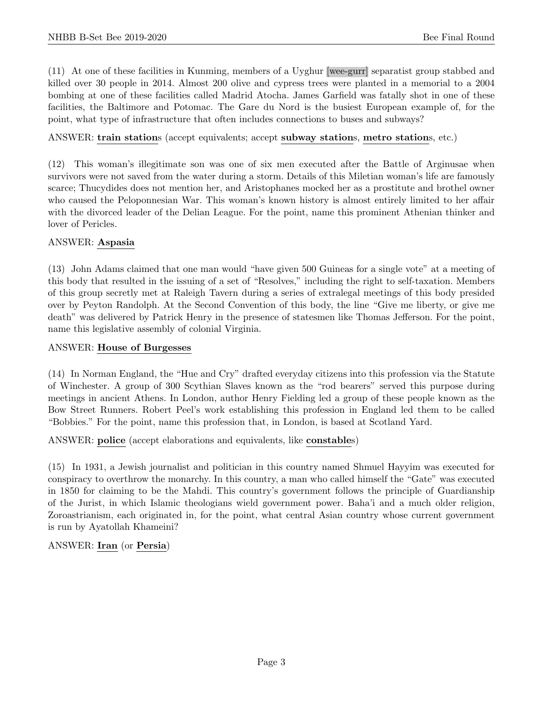(11) At one of these facilities in Kunming, members of a Uyghur [wee-gurr] separatist group stabbed and killed over 30 people in 2014. Almost 200 olive and cypress trees were planted in a memorial to a 2004 bombing at one of these facilities called Madrid Atocha. James Garfield was fatally shot in one of these facilities, the Baltimore and Potomac. The Gare du Nord is the busiest European example of, for the point, what type of infrastructure that often includes connections to buses and subways?

# ANSWER: train stations (accept equivalents; accept subway stations, metro stations, etc.)

(12) This woman's illegitimate son was one of six men executed after the Battle of Arginusae when survivors were not saved from the water during a storm. Details of this Miletian woman's life are famously scarce; Thucydides does not mention her, and Aristophanes mocked her as a prostitute and brothel owner who caused the Peloponnesian War. This woman's known history is almost entirely limited to her affair with the divorced leader of the Delian League. For the point, name this prominent Athenian thinker and lover of Pericles.

# ANSWER: Aspasia

(13) John Adams claimed that one man would "have given 500 Guineas for a single vote" at a meeting of this body that resulted in the issuing of a set of "Resolves," including the right to self-taxation. Members of this group secretly met at Raleigh Tavern during a series of extralegal meetings of this body presided over by Peyton Randolph. At the Second Convention of this body, the line "Give me liberty, or give me death" was delivered by Patrick Henry in the presence of statesmen like Thomas Jefferson. For the point, name this legislative assembly of colonial Virginia.

#### ANSWER: House of Burgesses

(14) In Norman England, the "Hue and Cry" drafted everyday citizens into this profession via the Statute of Winchester. A group of 300 Scythian Slaves known as the "rod bearers" served this purpose during meetings in ancient Athens. In London, author Henry Fielding led a group of these people known as the Bow Street Runners. Robert Peel's work establishing this profession in England led them to be called "Bobbies." For the point, name this profession that, in London, is based at Scotland Yard.

ANSWER: police (accept elaborations and equivalents, like constables)

(15) In 1931, a Jewish journalist and politician in this country named Shmuel Hayyim was executed for conspiracy to overthrow the monarchy. In this country, a man who called himself the "Gate" was executed in 1850 for claiming to be the Mahdi. This country's government follows the principle of Guardianship of the Jurist, in which Islamic theologians wield government power. Baha'i and a much older religion, Zoroastrianism, each originated in, for the point, what central Asian country whose current government is run by Ayatollah Khameini?

#### ANSWER: Iran (or Persia)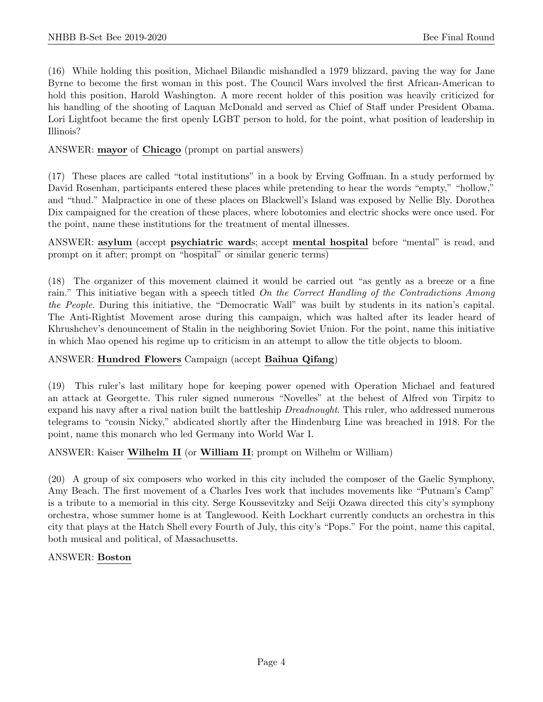(16) While holding this position, Michael Bilandic mishandled a 1979 blizzard, paving the way for Jane Byrne to become the first woman in this post. The Council Wars involved the first African-American to hold this position, Harold Washington. A more recent holder of this position was heavily criticized for his handling of the shooting of Laquan McDonald and served as Chief of Staff under President Obama. Lori Lightfoot became the first openly LGBT person to hold, for the point, what position of leadership in Illinois?

# ANSWER: mayor of Chicago (prompt on partial answers)

(17) These places are called "total institutions" in a book by Erving Goffman. In a study performed by David Rosenhan, participants entered these places while pretending to hear the words "empty," "hollow," and "thud." Malpractice in one of these places on Blackwell's Island was exposed by Nellie Bly. Dorothea Dix campaigned for the creation of these places, where lobotomies and electric shocks were once used. For the point, name these institutions for the treatment of mental illnesses.

ANSWER: asylum (accept psychiatric wards; accept mental hospital before "mental" is read, and prompt on it after; prompt on "hospital" or similar generic terms)

(18) The organizer of this movement claimed it would be carried out "as gently as a breeze or a fine rain." This initiative began with a speech titled On the Correct Handling of the Contradictions Among the People. During this initiative, the "Democratic Wall" was built by students in its nation's capital. The Anti-Rightist Movement arose during this campaign, which was halted after its leader heard of Khrushchev's denouncement of Stalin in the neighboring Soviet Union. For the point, name this initiative in which Mao opened his regime up to criticism in an attempt to allow the title objects to bloom.

# ANSWER: Hundred Flowers Campaign (accept Baihua Qifang)

(19) This ruler's last military hope for keeping power opened with Operation Michael and featured an attack at Georgette. This ruler signed numerous "Novelles" at the behest of Alfred von Tirpitz to expand his navy after a rival nation built the battleship *Dreadnought*. This ruler, who addressed numerous telegrams to "cousin Nicky," abdicated shortly after the Hindenburg Line was breached in 1918. For the point, name this monarch who led Germany into World War I.

#### ANSWER: Kaiser Wilhelm II (or William II; prompt on Wilhelm or William)

(20) A group of six composers who worked in this city included the composer of the Gaelic Symphony, Amy Beach. The first movement of a Charles Ives work that includes movements like "Putnam's Camp" is a tribute to a memorial in this city. Serge Koussevitzky and Seiji Ozawa directed this city's symphony orchestra, whose summer home is at Tanglewood. Keith Lockhart currently conducts an orchestra in this city that plays at the Hatch Shell every Fourth of July, this city's "Pops." For the point, name this capital, both musical and political, of Massachusetts.

#### ANSWER: Boston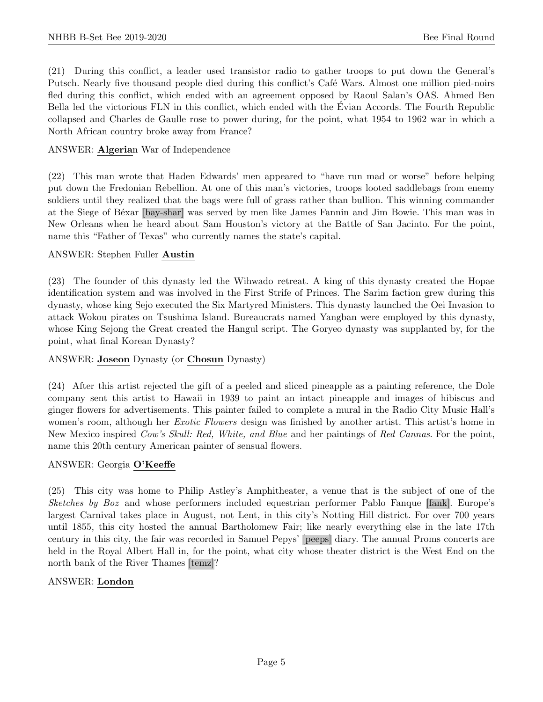(21) During this conflict, a leader used transistor radio to gather troops to put down the General's Putsch. Nearly five thousand people died during this conflict's Café Wars. Almost one million pied-noirs fled during this conflict, which ended with an agreement opposed by Raoul Salan's OAS. Ahmed Ben Bella led the victorious FLN in this conflict, which ended with the Evian Accords. The Fourth Republic ´ collapsed and Charles de Gaulle rose to power during, for the point, what 1954 to 1962 war in which a North African country broke away from France?

# ANSWER: Algerian War of Independence

(22) This man wrote that Haden Edwards' men appeared to "have run mad or worse" before helping put down the Fredonian Rebellion. At one of this man's victories, troops looted saddlebags from enemy soldiers until they realized that the bags were full of grass rather than bullion. This winning commander at the Siege of Béxar [bay-shar] was served by men like James Fannin and Jim Bowie. This man was in New Orleans when he heard about Sam Houston's victory at the Battle of San Jacinto. For the point, name this "Father of Texas" who currently names the state's capital.

# ANSWER: Stephen Fuller Austin

(23) The founder of this dynasty led the Wihwado retreat. A king of this dynasty created the Hopae identification system and was involved in the First Strife of Princes. The Sarim faction grew during this dynasty, whose king Sejo executed the Six Martyred Ministers. This dynasty launched the Oei Invasion to attack Wokou pirates on Tsushima Island. Bureaucrats named Yangban were employed by this dynasty, whose King Sejong the Great created the Hangul script. The Goryeo dynasty was supplanted by, for the point, what final Korean Dynasty?

# ANSWER: Joseon Dynasty (or Chosun Dynasty)

(24) After this artist rejected the gift of a peeled and sliced pineapple as a painting reference, the Dole company sent this artist to Hawaii in 1939 to paint an intact pineapple and images of hibiscus and ginger flowers for advertisements. This painter failed to complete a mural in the Radio City Music Hall's women's room, although her *Exotic Flowers* design was finished by another artist. This artist's home in New Mexico inspired Cow's Skull: Red, White, and Blue and her paintings of Red Cannas. For the point, name this 20th century American painter of sensual flowers.

#### ANSWER: Georgia O'Keeffe

(25) This city was home to Philip Astley's Amphitheater, a venue that is the subject of one of the Sketches by Boz and whose performers included equestrian performer Pablo Fanque [fank]. Europe's largest Carnival takes place in August, not Lent, in this city's Notting Hill district. For over 700 years until 1855, this city hosted the annual Bartholomew Fair; like nearly everything else in the late 17th century in this city, the fair was recorded in Samuel Pepys' [peeps] diary. The annual Proms concerts are held in the Royal Albert Hall in, for the point, what city whose theater district is the West End on the north bank of the River Thames [temz]?

#### ANSWER: London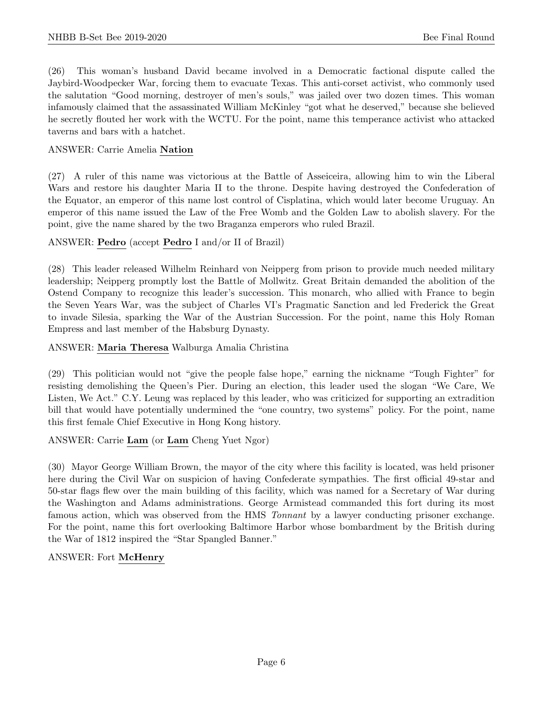(26) This woman's husband David became involved in a Democratic factional dispute called the Jaybird-Woodpecker War, forcing them to evacuate Texas. This anti-corset activist, who commonly used the salutation "Good morning, destroyer of men's souls," was jailed over two dozen times. This woman infamously claimed that the assassinated William McKinley "got what he deserved," because she believed he secretly flouted her work with the WCTU. For the point, name this temperance activist who attacked taverns and bars with a hatchet.

# ANSWER: Carrie Amelia Nation

(27) A ruler of this name was victorious at the Battle of Asseiceira, allowing him to win the Liberal Wars and restore his daughter Maria II to the throne. Despite having destroyed the Confederation of the Equator, an emperor of this name lost control of Cisplatina, which would later become Uruguay. An emperor of this name issued the Law of the Free Womb and the Golden Law to abolish slavery. For the point, give the name shared by the two Braganza emperors who ruled Brazil.

# ANSWER: Pedro (accept Pedro I and/or II of Brazil)

(28) This leader released Wilhelm Reinhard von Neipperg from prison to provide much needed military leadership; Neipperg promptly lost the Battle of Mollwitz. Great Britain demanded the abolition of the Ostend Company to recognize this leader's succession. This monarch, who allied with France to begin the Seven Years War, was the subject of Charles VI's Pragmatic Sanction and led Frederick the Great to invade Silesia, sparking the War of the Austrian Succession. For the point, name this Holy Roman Empress and last member of the Habsburg Dynasty.

# ANSWER: Maria Theresa Walburga Amalia Christina

(29) This politician would not "give the people false hope," earning the nickname "Tough Fighter" for resisting demolishing the Queen's Pier. During an election, this leader used the slogan "We Care, We Listen, We Act." C.Y. Leung was replaced by this leader, who was criticized for supporting an extradition bill that would have potentially undermined the "one country, two systems" policy. For the point, name this first female Chief Executive in Hong Kong history.

#### ANSWER: Carrie Lam (or Lam Cheng Yuet Ngor)

(30) Mayor George William Brown, the mayor of the city where this facility is located, was held prisoner here during the Civil War on suspicion of having Confederate sympathies. The first official 49-star and 50-star flags flew over the main building of this facility, which was named for a Secretary of War during the Washington and Adams administrations. George Armistead commanded this fort during its most famous action, which was observed from the HMS Tonnant by a lawyer conducting prisoner exchange. For the point, name this fort overlooking Baltimore Harbor whose bombardment by the British during the War of 1812 inspired the "Star Spangled Banner."

#### ANSWER: Fort McHenry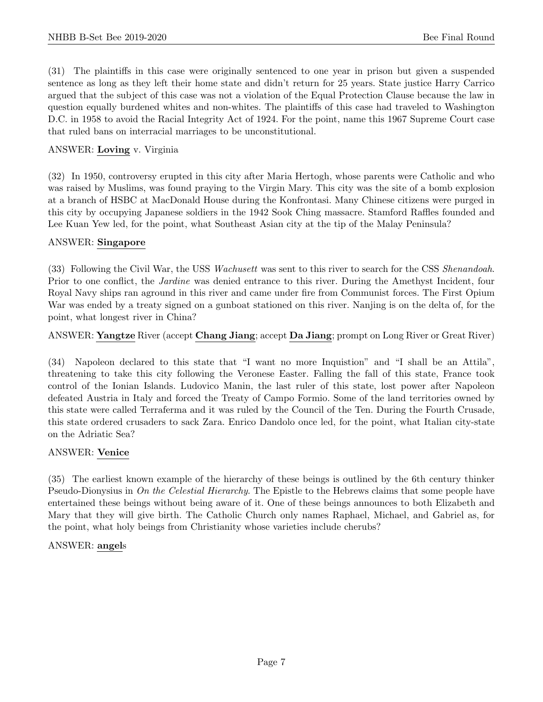(31) The plaintiffs in this case were originally sentenced to one year in prison but given a suspended sentence as long as they left their home state and didn't return for 25 years. State justice Harry Carrico argued that the subject of this case was not a violation of the Equal Protection Clause because the law in question equally burdened whites and non-whites. The plaintiffs of this case had traveled to Washington D.C. in 1958 to avoid the Racial Integrity Act of 1924. For the point, name this 1967 Supreme Court case that ruled bans on interracial marriages to be unconstitutional.

# ANSWER: Loving v. Virginia

(32) In 1950, controversy erupted in this city after Maria Hertogh, whose parents were Catholic and who was raised by Muslims, was found praying to the Virgin Mary. This city was the site of a bomb explosion at a branch of HSBC at MacDonald House during the Konfrontasi. Many Chinese citizens were purged in this city by occupying Japanese soldiers in the 1942 Sook Ching massacre. Stamford Raffles founded and Lee Kuan Yew led, for the point, what Southeast Asian city at the tip of the Malay Peninsula?

# ANSWER: Singapore

(33) Following the Civil War, the USS Wachusett was sent to this river to search for the CSS Shenandoah. Prior to one conflict, the *Jardine* was denied entrance to this river. During the Amethyst Incident, four Royal Navy ships ran aground in this river and came under fire from Communist forces. The First Opium War was ended by a treaty signed on a gunboat stationed on this river. Nanjing is on the delta of, for the point, what longest river in China?

# ANSWER: Yangtze River (accept Chang Jiang; accept Da Jiang; prompt on Long River or Great River)

(34) Napoleon declared to this state that "I want no more Inquistion" and "I shall be an Attila", threatening to take this city following the Veronese Easter. Falling the fall of this state, France took control of the Ionian Islands. Ludovico Manin, the last ruler of this state, lost power after Napoleon defeated Austria in Italy and forced the Treaty of Campo Formio. Some of the land territories owned by this state were called Terraferma and it was ruled by the Council of the Ten. During the Fourth Crusade, this state ordered crusaders to sack Zara. Enrico Dandolo once led, for the point, what Italian city-state on the Adriatic Sea?

#### ANSWER: Venice

(35) The earliest known example of the hierarchy of these beings is outlined by the 6th century thinker Pseudo-Dionysius in On the Celestial Hierarchy. The Epistle to the Hebrews claims that some people have entertained these beings without being aware of it. One of these beings announces to both Elizabeth and Mary that they will give birth. The Catholic Church only names Raphael, Michael, and Gabriel as, for the point, what holy beings from Christianity whose varieties include cherubs?

#### ANSWER: angels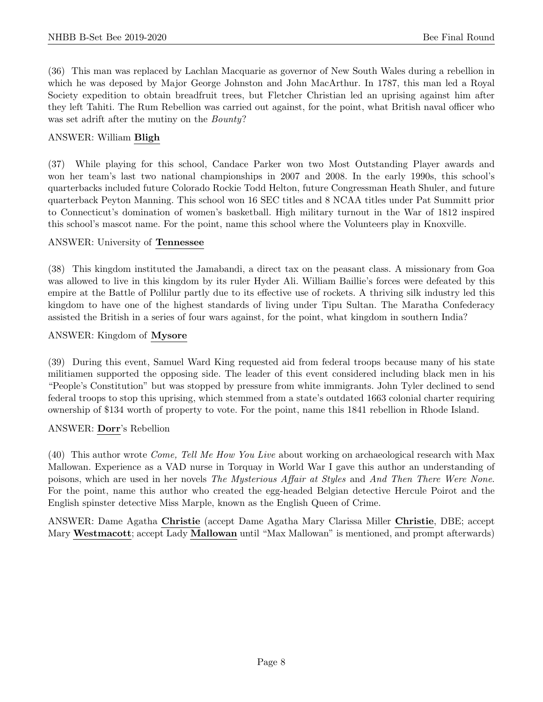(36) This man was replaced by Lachlan Macquarie as governor of New South Wales during a rebellion in which he was deposed by Major George Johnston and John MacArthur. In 1787, this man led a Royal Society expedition to obtain breadfruit trees, but Fletcher Christian led an uprising against him after they left Tahiti. The Rum Rebellion was carried out against, for the point, what British naval officer who was set adrift after the mutiny on the *Bounty*?

# ANSWER: William Bligh

(37) While playing for this school, Candace Parker won two Most Outstanding Player awards and won her team's last two national championships in 2007 and 2008. In the early 1990s, this school's quarterbacks included future Colorado Rockie Todd Helton, future Congressman Heath Shuler, and future quarterback Peyton Manning. This school won 16 SEC titles and 8 NCAA titles under Pat Summitt prior to Connecticut's domination of women's basketball. High military turnout in the War of 1812 inspired this school's mascot name. For the point, name this school where the Volunteers play in Knoxville.

#### ANSWER: University of Tennessee

(38) This kingdom instituted the Jamabandi, a direct tax on the peasant class. A missionary from Goa was allowed to live in this kingdom by its ruler Hyder Ali. William Baillie's forces were defeated by this empire at the Battle of Pollilur partly due to its effective use of rockets. A thriving silk industry led this kingdom to have one of the highest standards of living under Tipu Sultan. The Maratha Confederacy assisted the British in a series of four wars against, for the point, what kingdom in southern India?

# ANSWER: Kingdom of Mysore

(39) During this event, Samuel Ward King requested aid from federal troops because many of his state militiamen supported the opposing side. The leader of this event considered including black men in his "People's Constitution" but was stopped by pressure from white immigrants. John Tyler declined to send federal troops to stop this uprising, which stemmed from a state's outdated 1663 colonial charter requiring ownership of \$134 worth of property to vote. For the point, name this 1841 rebellion in Rhode Island.

#### ANSWER: Dorr's Rebellion

(40) This author wrote Come, Tell Me How You Live about working on archaeological research with Max Mallowan. Experience as a VAD nurse in Torquay in World War I gave this author an understanding of poisons, which are used in her novels The Mysterious Affair at Styles and And Then There Were None. For the point, name this author who created the egg-headed Belgian detective Hercule Poirot and the English spinster detective Miss Marple, known as the English Queen of Crime.

ANSWER: Dame Agatha Christie (accept Dame Agatha Mary Clarissa Miller Christie, DBE; accept Mary Westmacott; accept Lady Mallowan until "Max Mallowan" is mentioned, and prompt afterwards)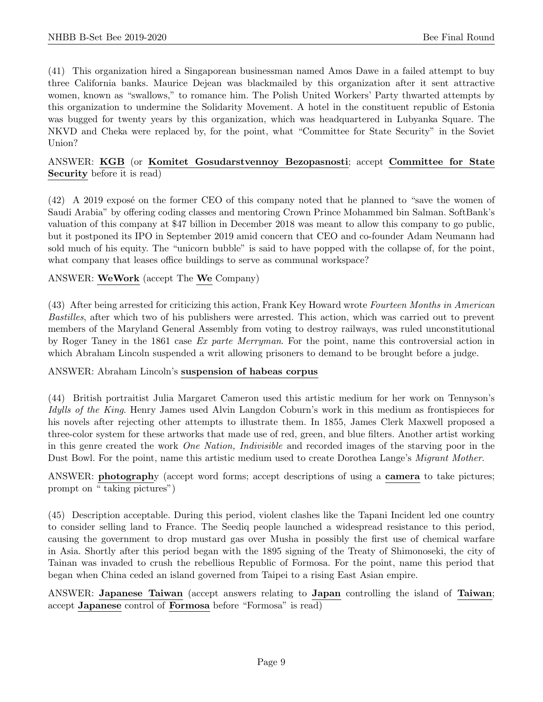(41) This organization hired a Singaporean businessman named Amos Dawe in a failed attempt to buy three California banks. Maurice Dejean was blackmailed by this organization after it sent attractive women, known as "swallows," to romance him. The Polish United Workers' Party thwarted attempts by this organization to undermine the Solidarity Movement. A hotel in the constituent republic of Estonia was bugged for twenty years by this organization, which was headquartered in Lubyanka Square. The NKVD and Cheka were replaced by, for the point, what "Committee for State Security" in the Soviet Union?

# ANSWER: KGB (or Komitet Gosudarstvennoy Bezopasnosti; accept Committee for State Security before it is read)

(42) A 2019 expose on the former CEO of this company noted that he planned to "save the women of Saudi Arabia" by offering coding classes and mentoring Crown Prince Mohammed bin Salman. SoftBank's valuation of this company at \$47 billion in December 2018 was meant to allow this company to go public, but it postponed its IPO in September 2019 amid concern that CEO and co-founder Adam Neumann had sold much of his equity. The "unicorn bubble" is said to have popped with the collapse of, for the point, what company that leases office buildings to serve as communal workspace?

# ANSWER: WeWork (accept The We Company)

(43) After being arrested for criticizing this action, Frank Key Howard wrote Fourteen Months in American Bastilles, after which two of his publishers were arrested. This action, which was carried out to prevent members of the Maryland General Assembly from voting to destroy railways, was ruled unconstitutional by Roger Taney in the 1861 case Ex parte Merryman. For the point, name this controversial action in which Abraham Lincoln suspended a writ allowing prisoners to demand to be brought before a judge.

#### ANSWER: Abraham Lincoln's suspension of habeas corpus

(44) British portraitist Julia Margaret Cameron used this artistic medium for her work on Tennyson's Idylls of the King. Henry James used Alvin Langdon Coburn's work in this medium as frontispieces for his novels after rejecting other attempts to illustrate them. In 1855, James Clerk Maxwell proposed a three-color system for these artworks that made use of red, green, and blue filters. Another artist working in this genre created the work One Nation, Indivisible and recorded images of the starving poor in the Dust Bowl. For the point, name this artistic medium used to create Dorothea Lange's Migrant Mother.

# ANSWER: **photography** (accept word forms; accept descriptions of using a **camera** to take pictures; prompt on " taking pictures")

(45) Description acceptable. During this period, violent clashes like the Tapani Incident led one country to consider selling land to France. The Seediq people launched a widespread resistance to this period, causing the government to drop mustard gas over Musha in possibly the first use of chemical warfare in Asia. Shortly after this period began with the 1895 signing of the Treaty of Shimonoseki, the city of Tainan was invaded to crush the rebellious Republic of Formosa. For the point, name this period that began when China ceded an island governed from Taipei to a rising East Asian empire.

ANSWER: Japanese Taiwan (accept answers relating to Japan controlling the island of Taiwan; accept Japanese control of Formosa before "Formosa" is read)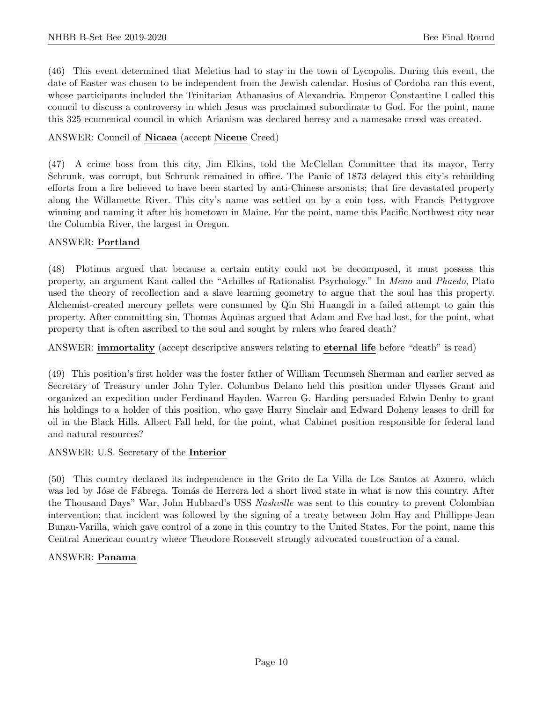(46) This event determined that Meletius had to stay in the town of Lycopolis. During this event, the date of Easter was chosen to be independent from the Jewish calendar. Hosius of Cordoba ran this event, whose participants included the Trinitarian Athanasius of Alexandria. Emperor Constantine I called this council to discuss a controversy in which Jesus was proclaimed subordinate to God. For the point, name this 325 ecumenical council in which Arianism was declared heresy and a namesake creed was created.

# ANSWER: Council of Nicaea (accept Nicene Creed)

(47) A crime boss from this city, Jim Elkins, told the McClellan Committee that its mayor, Terry Schrunk, was corrupt, but Schrunk remained in office. The Panic of 1873 delayed this city's rebuilding efforts from a fire believed to have been started by anti-Chinese arsonists; that fire devastated property along the Willamette River. This city's name was settled on by a coin toss, with Francis Pettygrove winning and naming it after his hometown in Maine. For the point, name this Pacific Northwest city near the Columbia River, the largest in Oregon.

# ANSWER: Portland

(48) Plotinus argued that because a certain entity could not be decomposed, it must possess this property, an argument Kant called the "Achilles of Rationalist Psychology." In Meno and Phaedo, Plato used the theory of recollection and a slave learning geometry to argue that the soul has this property. Alchemist-created mercury pellets were consumed by Qin Shi Huangdi in a failed attempt to gain this property. After committing sin, Thomas Aquinas argued that Adam and Eve had lost, for the point, what property that is often ascribed to the soul and sought by rulers who feared death?

ANSWER: immortality (accept descriptive answers relating to eternal life before "death" is read)

(49) This position's first holder was the foster father of William Tecumseh Sherman and earlier served as Secretary of Treasury under John Tyler. Columbus Delano held this position under Ulysses Grant and organized an expedition under Ferdinand Hayden. Warren G. Harding persuaded Edwin Denby to grant his holdings to a holder of this position, who gave Harry Sinclair and Edward Doheny leases to drill for oil in the Black Hills. Albert Fall held, for the point, what Cabinet position responsible for federal land and natural resources?

ANSWER: U.S. Secretary of the Interior

(50) This country declared its independence in the Grito de La Villa de Los Santos at Azuero, which was led by Jóse de Fábrega. Tomás de Herrera led a short lived state in what is now this country. After the Thousand Days" War, John Hubbard's USS Nashville was sent to this country to prevent Colombian intervention; that incident was followed by the signing of a treaty between John Hay and Phillippe-Jean Bunau-Varilla, which gave control of a zone in this country to the United States. For the point, name this Central American country where Theodore Roosevelt strongly advocated construction of a canal.

#### ANSWER: Panama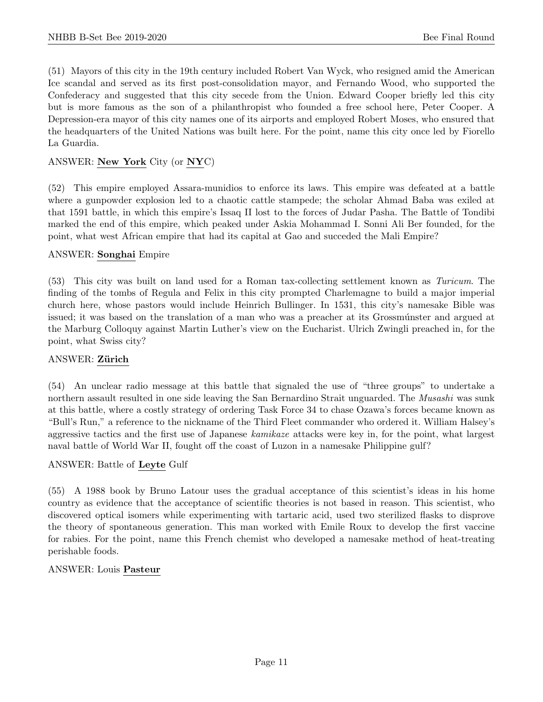(51) Mayors of this city in the 19th century included Robert Van Wyck, who resigned amid the American Ice scandal and served as its first post-consolidation mayor, and Fernando Wood, who supported the Confederacy and suggested that this city secede from the Union. Edward Cooper briefly led this city but is more famous as the son of a philanthropist who founded a free school here, Peter Cooper. A Depression-era mayor of this city names one of its airports and employed Robert Moses, who ensured that the headquarters of the United Nations was built here. For the point, name this city once led by Fiorello La Guardia.

# ANSWER: New York City (or NYC)

(52) This empire employed Assara-munidios to enforce its laws. This empire was defeated at a battle where a gunpowder explosion led to a chaotic cattle stampede; the scholar Ahmad Baba was exiled at that 1591 battle, in which this empire's Issaq II lost to the forces of Judar Pasha. The Battle of Tondibi marked the end of this empire, which peaked under Askia Mohammad I. Sonni Ali Ber founded, for the point, what west African empire that had its capital at Gao and succeded the Mali Empire?

#### ANSWER: Songhai Empire

(53) This city was built on land used for a Roman tax-collecting settlement known as Turicum. The finding of the tombs of Regula and Felix in this city prompted Charlemagne to build a major imperial church here, whose pastors would include Heinrich Bullinger. In 1531, this city's namesake Bible was issued; it was based on the translation of a man who was a preacher at its Grossmúnster and argued at the Marburg Colloquy against Martin Luther's view on the Eucharist. Ulrich Zwingli preached in, for the point, what Swiss city?

#### ANSWER: Zürich

(54) An unclear radio message at this battle that signaled the use of "three groups" to undertake a northern assault resulted in one side leaving the San Bernardino Strait unguarded. The *Musashi* was sunk at this battle, where a costly strategy of ordering Task Force 34 to chase Ozawa's forces became known as "Bull's Run," a reference to the nickname of the Third Fleet commander who ordered it. William Halsey's aggressive tactics and the first use of Japanese kamikaze attacks were key in, for the point, what largest naval battle of World War II, fought off the coast of Luzon in a namesake Philippine gulf?

#### ANSWER: Battle of Leyte Gulf

(55) A 1988 book by Bruno Latour uses the gradual acceptance of this scientist's ideas in his home country as evidence that the acceptance of scientific theories is not based in reason. This scientist, who discovered optical isomers while experimenting with tartaric acid, used two sterilized flasks to disprove the theory of spontaneous generation. This man worked with Emile Roux to develop the first vaccine for rabies. For the point, name this French chemist who developed a namesake method of heat-treating perishable foods.

#### ANSWER: Louis Pasteur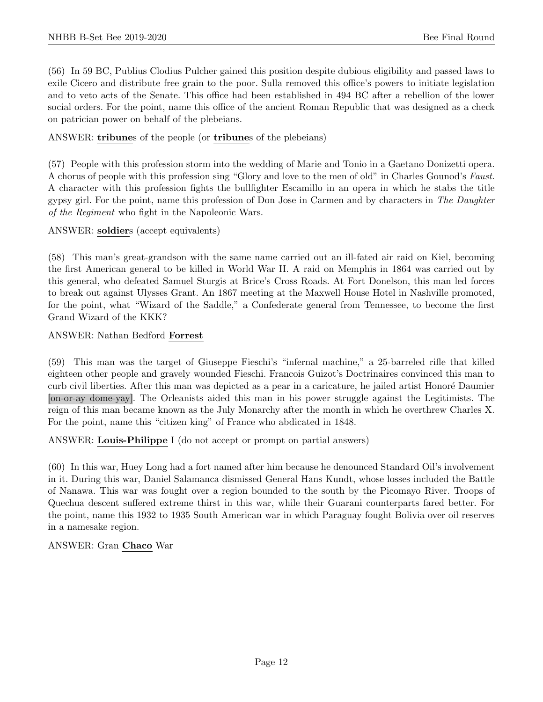(56) In 59 BC, Publius Clodius Pulcher gained this position despite dubious eligibility and passed laws to exile Cicero and distribute free grain to the poor. Sulla removed this office's powers to initiate legislation and to veto acts of the Senate. This office had been established in 494 BC after a rebellion of the lower social orders. For the point, name this office of the ancient Roman Republic that was designed as a check on patrician power on behalf of the plebeians.

# ANSWER: tribunes of the people (or tribunes of the plebeians)

(57) People with this profession storm into the wedding of Marie and Tonio in a Gaetano Donizetti opera. A chorus of people with this profession sing "Glory and love to the men of old" in Charles Gounod's Faust. A character with this profession fights the bullfighter Escamillo in an opera in which he stabs the title gypsy girl. For the point, name this profession of Don Jose in Carmen and by characters in The Daughter of the Regiment who fight in the Napoleonic Wars.

# ANSWER: soldiers (accept equivalents)

(58) This man's great-grandson with the same name carried out an ill-fated air raid on Kiel, becoming the first American general to be killed in World War II. A raid on Memphis in 1864 was carried out by this general, who defeated Samuel Sturgis at Brice's Cross Roads. At Fort Donelson, this man led forces to break out against Ulysses Grant. An 1867 meeting at the Maxwell House Hotel in Nashville promoted, for the point, what "Wizard of the Saddle," a Confederate general from Tennessee, to become the first Grand Wizard of the KKK?

# ANSWER: Nathan Bedford Forrest

(59) This man was the target of Giuseppe Fieschi's "infernal machine," a 25-barreled rifle that killed eighteen other people and gravely wounded Fieschi. Francois Guizot's Doctrinaires convinced this man to curb civil liberties. After this man was depicted as a pear in a caricature, he jailed artist Honoré Daumier [on-or-ay dome-yay]. The Orleanists aided this man in his power struggle against the Legitimists. The reign of this man became known as the July Monarchy after the month in which he overthrew Charles X. For the point, name this "citizen king" of France who abdicated in 1848.

ANSWER: Louis-Philippe I (do not accept or prompt on partial answers)

(60) In this war, Huey Long had a fort named after him because he denounced Standard Oil's involvement in it. During this war, Daniel Salamanca dismissed General Hans Kundt, whose losses included the Battle of Nanawa. This war was fought over a region bounded to the south by the Picomayo River. Troops of Quechua descent suffered extreme thirst in this war, while their Guarani counterparts fared better. For the point, name this 1932 to 1935 South American war in which Paraguay fought Bolivia over oil reserves in a namesake region.

ANSWER: Gran Chaco War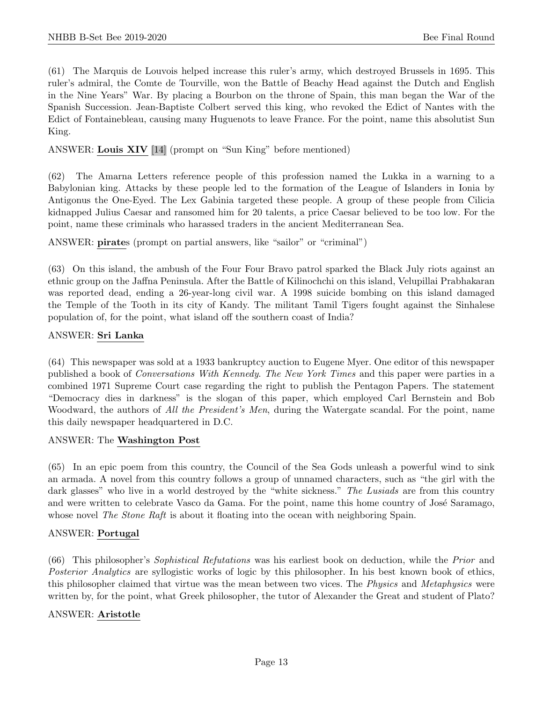(61) The Marquis de Louvois helped increase this ruler's army, which destroyed Brussels in 1695. This ruler's admiral, the Comte de Tourville, won the Battle of Beachy Head against the Dutch and English in the Nine Years" War. By placing a Bourbon on the throne of Spain, this man began the War of the Spanish Succession. Jean-Baptiste Colbert served this king, who revoked the Edict of Nantes with the Edict of Fontainebleau, causing many Huguenots to leave France. For the point, name this absolutist Sun King.

ANSWER: Louis XIV [14] (prompt on "Sun King" before mentioned)

(62) The Amarna Letters reference people of this profession named the Lukka in a warning to a Babylonian king. Attacks by these people led to the formation of the League of Islanders in Ionia by Antigonus the One-Eyed. The Lex Gabinia targeted these people. A group of these people from Cilicia kidnapped Julius Caesar and ransomed him for 20 talents, a price Caesar believed to be too low. For the point, name these criminals who harassed traders in the ancient Mediterranean Sea.

ANSWER: pirates (prompt on partial answers, like "sailor" or "criminal")

(63) On this island, the ambush of the Four Four Bravo patrol sparked the Black July riots against an ethnic group on the Jaffna Peninsula. After the Battle of Kilinochchi on this island, Velupillai Prabhakaran was reported dead, ending a 26-year-long civil war. A 1998 suicide bombing on this island damaged the Temple of the Tooth in its city of Kandy. The militant Tamil Tigers fought against the Sinhalese population of, for the point, what island off the southern coast of India?

# ANSWER: Sri Lanka

(64) This newspaper was sold at a 1933 bankruptcy auction to Eugene Myer. One editor of this newspaper published a book of Conversations With Kennedy. The New York Times and this paper were parties in a combined 1971 Supreme Court case regarding the right to publish the Pentagon Papers. The statement "Democracy dies in darkness" is the slogan of this paper, which employed Carl Bernstein and Bob Woodward, the authors of All the President's Men, during the Watergate scandal. For the point, name this daily newspaper headquartered in D.C.

#### ANSWER: The Washington Post

(65) In an epic poem from this country, the Council of the Sea Gods unleash a powerful wind to sink an armada. A novel from this country follows a group of unnamed characters, such as "the girl with the dark glasses" who live in a world destroyed by the "white sickness." The Lusiads are from this country and were written to celebrate Vasco da Gama. For the point, name this home country of José Saramago, whose novel The Stone Raft is about it floating into the ocean with neighboring Spain.

#### ANSWER: Portugal

(66) This philosopher's Sophistical Refutations was his earliest book on deduction, while the Prior and Posterior Analytics are syllogistic works of logic by this philosopher. In his best known book of ethics, this philosopher claimed that virtue was the mean between two vices. The *Physics* and *Metaphysics* were written by, for the point, what Greek philosopher, the tutor of Alexander the Great and student of Plato?

# ANSWER: Aristotle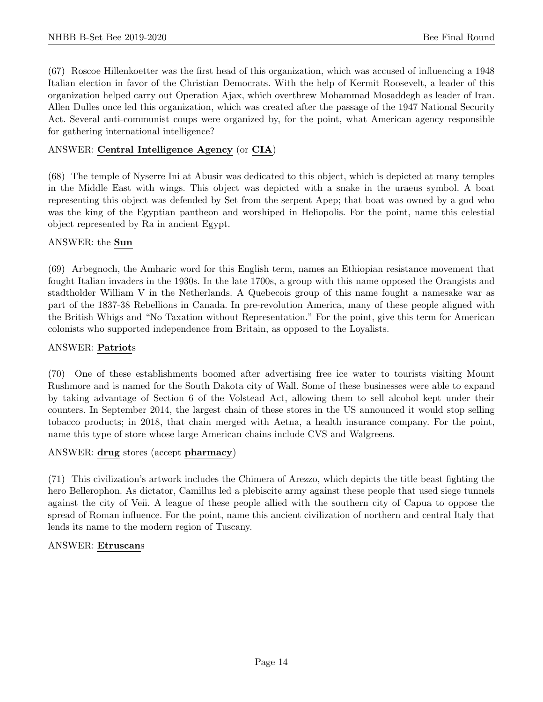(67) Roscoe Hillenkoetter was the first head of this organization, which was accused of influencing a 1948 Italian election in favor of the Christian Democrats. With the help of Kermit Roosevelt, a leader of this organization helped carry out Operation Ajax, which overthrew Mohammad Mosaddegh as leader of Iran. Allen Dulles once led this organization, which was created after the passage of the 1947 National Security Act. Several anti-communist coups were organized by, for the point, what American agency responsible for gathering international intelligence?

# ANSWER: Central Intelligence Agency (or CIA)

(68) The temple of Nyserre Ini at Abusir was dedicated to this object, which is depicted at many temples in the Middle East with wings. This object was depicted with a snake in the uraeus symbol. A boat representing this object was defended by Set from the serpent Apep; that boat was owned by a god who was the king of the Egyptian pantheon and worshiped in Heliopolis. For the point, name this celestial object represented by Ra in ancient Egypt.

# ANSWER: the Sun

(69) Arbegnoch, the Amharic word for this English term, names an Ethiopian resistance movement that fought Italian invaders in the 1930s. In the late 1700s, a group with this name opposed the Orangists and stadtholder William V in the Netherlands. A Quebecois group of this name fought a namesake war as part of the 1837-38 Rebellions in Canada. In pre-revolution America, many of these people aligned with the British Whigs and "No Taxation without Representation." For the point, give this term for American colonists who supported independence from Britain, as opposed to the Loyalists.

# ANSWER: Patriots

(70) One of these establishments boomed after advertising free ice water to tourists visiting Mount Rushmore and is named for the South Dakota city of Wall. Some of these businesses were able to expand by taking advantage of Section 6 of the Volstead Act, allowing them to sell alcohol kept under their counters. In September 2014, the largest chain of these stores in the US announced it would stop selling tobacco products; in 2018, that chain merged with Aetna, a health insurance company. For the point, name this type of store whose large American chains include CVS and Walgreens.

# ANSWER: drug stores (accept pharmacy)

(71) This civilization's artwork includes the Chimera of Arezzo, which depicts the title beast fighting the hero Bellerophon. As dictator, Camillus led a plebiscite army against these people that used siege tunnels against the city of Veii. A league of these people allied with the southern city of Capua to oppose the spread of Roman influence. For the point, name this ancient civilization of northern and central Italy that lends its name to the modern region of Tuscany.

#### ANSWER: Etruscans